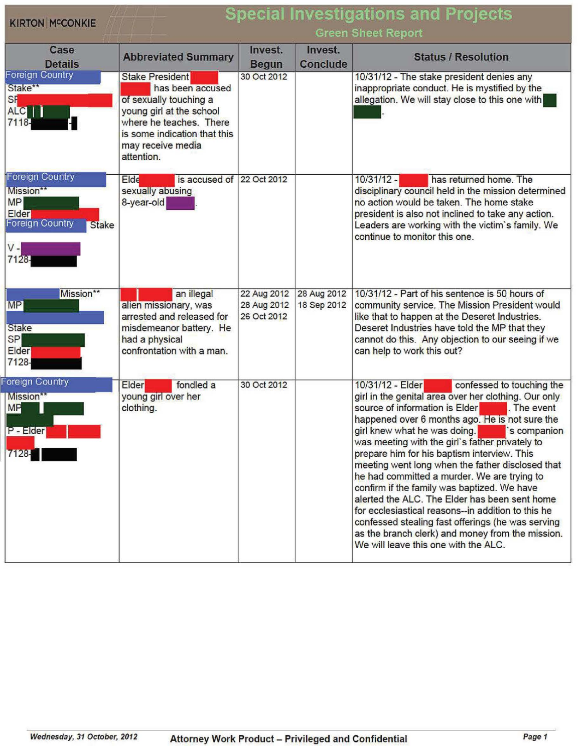| <b>Special Investigations and Projects</b><br><b>KIRTON MCCONKIE</b><br><b>Green Sheet Report</b>                     |                                                                                                                                                                                                |                            |                            |                                                                                                                                                                                                                                                                                                                                                                                                                                                                                                                                                                                                                                                                                                                                                                     |  |  |
|-----------------------------------------------------------------------------------------------------------------------|------------------------------------------------------------------------------------------------------------------------------------------------------------------------------------------------|----------------------------|----------------------------|---------------------------------------------------------------------------------------------------------------------------------------------------------------------------------------------------------------------------------------------------------------------------------------------------------------------------------------------------------------------------------------------------------------------------------------------------------------------------------------------------------------------------------------------------------------------------------------------------------------------------------------------------------------------------------------------------------------------------------------------------------------------|--|--|
| Case<br><b>Details</b>                                                                                                | <b>Abbreviated Summary</b>                                                                                                                                                                     | Invest.<br><b>Begun</b>    | Invest.<br><b>Conclude</b> | <b>Status / Resolution</b>                                                                                                                                                                                                                                                                                                                                                                                                                                                                                                                                                                                                                                                                                                                                          |  |  |
| <b>Foreign Country</b><br>Stake**<br><b>SF</b><br>ALCWI<br>7118-                                                      | <b>Stake President</b><br>has been accused<br>of sexually touching a<br>young girl at the school<br>where he teaches. There<br>is some indication that this<br>may receive media<br>attention. | 30 Oct 2012                |                            | 10/31/12 - The stake president denies any<br>inappropriate conduct. He is mystified by the<br>allegation. We will stay close to this one with                                                                                                                                                                                                                                                                                                                                                                                                                                                                                                                                                                                                                       |  |  |
| Foreign Country<br>Mission**<br><b>MP</b><br><b>Elder</b><br><b>Foreign Country</b><br><b>Stake</b><br>$V -$<br>7128- | $E$ lde<br>is accused of<br>sexually abusing<br>8-year-old                                                                                                                                     | 22 Oct 2012                |                            | $10/31/12 -$<br>has returned home. The<br>disciplinary council held in the mission determined<br>no action would be taken. The home stake<br>president is also not inclined to take any action.<br>Leaders are working with the victim's family. We<br>continue to monitor this one.                                                                                                                                                                                                                                                                                                                                                                                                                                                                                |  |  |
| Mission**<br><b>MP</b><br><b>Stake</b><br><b>SP</b><br><b>Elder</b><br>7128-                                          | an illegal<br>alien missionary, was<br>arrested and released for<br>misdemeanor battery. He<br>had a physical<br>confrontation with a man.                                                     | 28 Aug 2012<br>26 Oct 2012 | 18 Sep 2012                | 22 Aug 2012 28 Aug 2012 10/31/12 - Part of his sentence is 50 hours of<br>community service. The Mission President would<br>like that to happen at the Deseret Industries.<br>Deseret Industries have told the MP that they<br>cannot do this. Any objection to our seeing if we<br>can help to work this out?                                                                                                                                                                                                                                                                                                                                                                                                                                                      |  |  |
| Foreign Country<br>Mission**<br><b>MP</b><br>$P - Elder$<br>7128-                                                     | <b>Elder</b><br>fondled a<br>young girl over her<br>clothing.                                                                                                                                  | 30 Oct 2012                |                            | 10/31/12 - Elder<br>confessed to touching the<br>girl in the genital area over her clothing. Our only<br>source of information is Elder<br>. The event<br>happened over 6 months ago. He is not sure the<br>girl knew what he was doing.<br>s companion<br>was meeting with the girl's father privately to<br>prepare him for his baptism interview. This<br>meeting went long when the father disclosed that<br>he had committed a murder. We are trying to<br>confirm if the family was baptized. We have<br>alerted the ALC. The Elder has been sent home<br>for ecclesiastical reasons--in addition to this he<br>confessed stealing fast offerings (he was serving<br>as the branch clerk) and money from the mission.<br>We will leave this one with the ALC. |  |  |

Wednesday, 31 October, 2012 Attorney Work Product - Privileged and Confidential Page 1